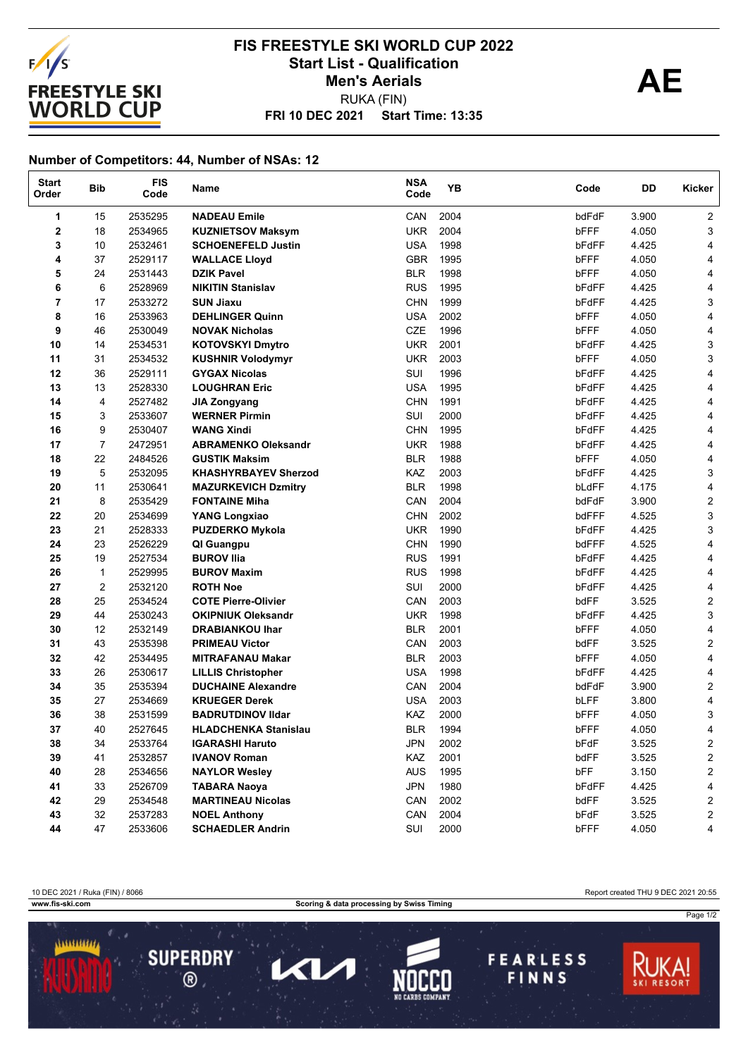

## **FRI 10 DEC 2021 Start Time: 13:35 FIS FREESTYLE SKI WORLD CUP 2022** Start List - Qualification<br> **AE** RUKA (FIN) **Men's Aerials**

## **Number of Competitors: 44, Number of NSAs: 12**

| <b>Start</b><br>Order | <b>Bib</b>     | <b>FIS</b><br>Code | Name                        | <b>NSA</b><br>Code | YB   | Code  | DD    | <b>Kicker</b>           |
|-----------------------|----------------|--------------------|-----------------------------|--------------------|------|-------|-------|-------------------------|
| 1                     | 15             | 2535295            | <b>NADEAU Emile</b>         | CAN                | 2004 | bdFdF | 3.900 | $\overline{2}$          |
| $\mathbf 2$           | 18             | 2534965            | <b>KUZNIETSOV Maksym</b>    | <b>UKR</b>         | 2004 | bFFF  | 4.050 | 3                       |
| 3                     | 10             | 2532461            | <b>SCHOENEFELD Justin</b>   | USA                | 1998 | bFdFF | 4.425 | 4                       |
| 4                     | 37             | 2529117            | <b>WALLACE Lloyd</b>        | <b>GBR</b>         | 1995 | bFFF  | 4.050 | 4                       |
| 5                     | 24             | 2531443            | <b>DZIK Pavel</b>           | <b>BLR</b>         | 1998 | bFFF  | 4.050 | 4                       |
| 6                     | 6              | 2528969            | <b>NIKITIN Stanislav</b>    | <b>RUS</b>         | 1995 | bFdFF | 4.425 | 4                       |
| 7                     | 17             | 2533272            | <b>SUN Jiaxu</b>            | <b>CHN</b>         | 1999 | bFdFF | 4.425 | 3                       |
| 8                     | 16             | 2533963            | <b>DEHLINGER Quinn</b>      | <b>USA</b>         | 2002 | bFFF  | 4.050 | 4                       |
| 9                     | 46             | 2530049            | <b>NOVAK Nicholas</b>       | <b>CZE</b>         | 1996 | bFFF  | 4.050 | 4                       |
| 10                    | 14             | 2534531            | <b>KOTOVSKYI Dmytro</b>     | <b>UKR</b>         | 2001 | bFdFF | 4.425 | 3                       |
| 11                    | 31             | 2534532            | <b>KUSHNIR Volodymyr</b>    | <b>UKR</b>         | 2003 | bFFF  | 4.050 | 3                       |
| 12                    | 36             | 2529111            | <b>GYGAX Nicolas</b>        | SUI                | 1996 | bFdFF | 4.425 | 4                       |
| 13                    | 13             | 2528330            | <b>LOUGHRAN Eric</b>        | <b>USA</b>         | 1995 | bFdFF | 4.425 | 4                       |
| 14                    | 4              | 2527482            | <b>JIA Zongyang</b>         | <b>CHN</b>         | 1991 | bFdFF | 4.425 | 4                       |
| 15                    | 3              | 2533607            | <b>WERNER Pirmin</b>        | SUI                | 2000 | bFdFF | 4.425 | 4                       |
| 16                    | 9              | 2530407            | <b>WANG Xindi</b>           | <b>CHN</b>         | 1995 | bFdFF | 4.425 | 4                       |
| 17                    | $\overline{7}$ | 2472951            | <b>ABRAMENKO Oleksandr</b>  | UKR                | 1988 | bFdFF | 4.425 | 4                       |
| 18                    | 22             | 2484526            | <b>GUSTIK Maksim</b>        | <b>BLR</b>         | 1988 | bFFF  | 4.050 | 4                       |
| 19                    | 5              | 2532095            | <b>KHASHYRBAYEV Sherzod</b> | <b>KAZ</b>         | 2003 | bFdFF | 4.425 | 3                       |
| 20                    | 11             | 2530641            | <b>MAZURKEVICH Dzmitry</b>  | <b>BLR</b>         | 1998 | bLdFF | 4.175 | 4                       |
| 21                    | 8              | 2535429            | <b>FONTAINE Miha</b>        | CAN                | 2004 | bdFdF | 3.900 | $\overline{c}$          |
| 22                    | 20             | 2534699            | <b>YANG Longxiao</b>        | <b>CHN</b>         | 2002 | bdFFF | 4.525 | 3                       |
| 23                    | 21             | 2528333            | <b>PUZDERKO Mykola</b>      | <b>UKR</b>         | 1990 | bFdFF | 4.425 | 3                       |
| 24                    | 23             | 2526229            | QI Guangpu                  | <b>CHN</b>         | 1990 | bdFFF | 4.525 | 4                       |
| 25                    | 19             | 2527534            | <b>BUROV Ilia</b>           | <b>RUS</b>         | 1991 | bFdFF | 4.425 | 4                       |
| 26                    | $\mathbf{1}$   | 2529995            | <b>BUROV Maxim</b>          | <b>RUS</b>         | 1998 | bFdFF | 4.425 | 4                       |
| 27                    | $\overline{2}$ | 2532120            | <b>ROTH Noe</b>             | SUI                | 2000 | bFdFF | 4.425 | 4                       |
| 28                    | 25             | 2534524            | <b>COTE Pierre-Olivier</b>  | CAN                | 2003 | bdFF  | 3.525 | $\overline{\mathbf{c}}$ |
| 29                    | 44             | 2530243            | <b>OKIPNIUK Oleksandr</b>   | <b>UKR</b>         | 1998 | bFdFF | 4.425 | 3                       |
| 30                    | 12             | 2532149            | <b>DRABIANKOU Ihar</b>      | <b>BLR</b>         | 2001 | bFFF  | 4.050 | 4                       |
| 31                    | 43             | 2535398            | <b>PRIMEAU Victor</b>       | CAN                | 2003 | bdFF  | 3.525 | $\overline{\mathbf{c}}$ |
| 32                    | 42             | 2534495            | <b>MITRAFANAU Makar</b>     | <b>BLR</b>         | 2003 | bFFF  | 4.050 | 4                       |
| 33                    | 26             | 2530617            | <b>LILLIS Christopher</b>   | <b>USA</b>         | 1998 | bFdFF | 4.425 | 4                       |
| 34                    | 35             | 2535394            | <b>DUCHAINE Alexandre</b>   | CAN                | 2004 | bdFdF | 3.900 | $\overline{c}$          |
| 35                    | 27             | 2534669            | <b>KRUEGER Derek</b>        | <b>USA</b>         | 2003 | bLFF  | 3.800 | 4                       |
| 36                    | 38             | 2531599            | <b>BADRUTDINOV IIdar</b>    | KAZ                | 2000 | bFFF  | 4.050 | 3                       |
| 37                    | 40             | 2527645            | <b>HLADCHENKA Stanislau</b> | <b>BLR</b>         | 1994 | bFFF  | 4.050 | 4                       |
| 38                    | 34             | 2533764            | <b>IGARASHI Haruto</b>      | <b>JPN</b>         | 2002 | bFdF  | 3.525 | $\overline{2}$          |
| 39                    | 41             | 2532857            | <b>IVANOV Roman</b>         | KAZ                | 2001 | bdFF  | 3.525 | $\overline{\mathbf{c}}$ |
| 40                    | 28             | 2534656            | <b>NAYLOR Wesley</b>        | <b>AUS</b>         | 1995 | bFF   | 3.150 | $\overline{\mathbf{c}}$ |
| 41                    | 33             | 2526709            | <b>TABARA Naoya</b>         | <b>JPN</b>         | 1980 | bFdFF | 4.425 | 4                       |
| 42                    | 29             | 2534548            | <b>MARTINEAU Nicolas</b>    | CAN                | 2002 | bdFF  | 3.525 | 2                       |
| 43                    | 32             | 2537283            | <b>NOEL Anthony</b>         | CAN                | 2004 | bFdF  | 3.525 | $\overline{\mathbf{c}}$ |
| 44                    | 47             | 2533606            | <b>SCHAEDLER Andrin</b>     | SUI                | 2000 | bFFF  | 4.050 | 4                       |

10 DEC 2021 / Ruka (FIN) / 8066 Report created THU 9 DEC 2021 20:55